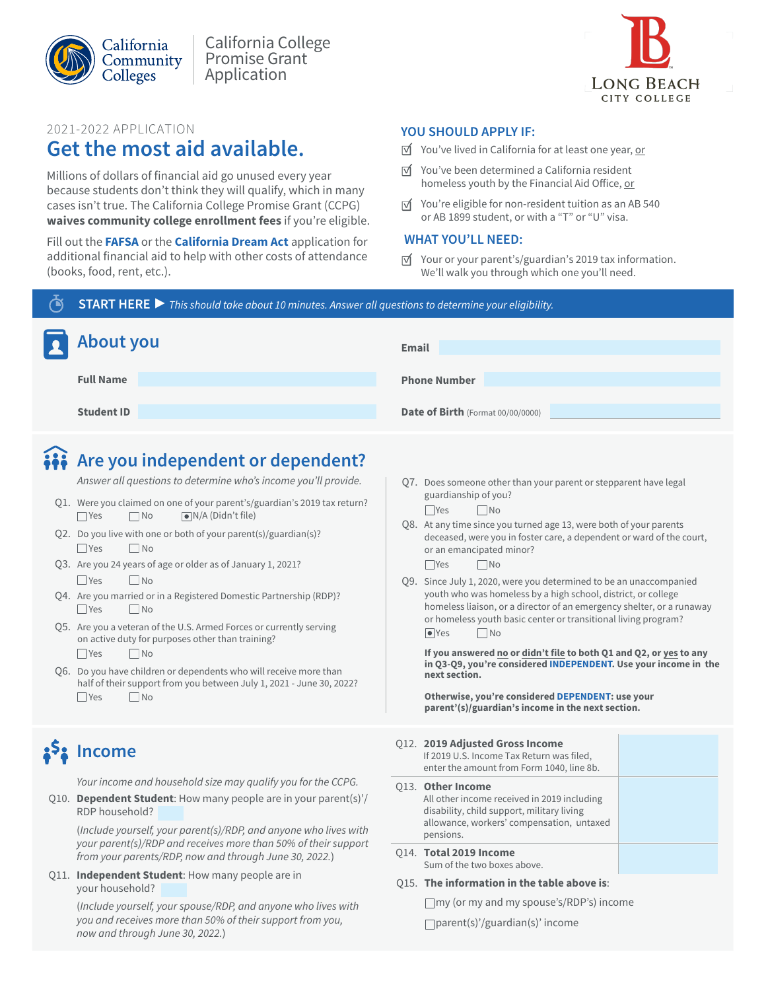



### 2021-2022 APPLICATION

## **Get the most aid available.**

Millions of dollars of financial aid go unused every year because students don't think they will qualify, which in many cases isn't true. The California College Promise Grant (CCPG) **waives community college enrollment fees** if you're eligible.

Fill out the **[FAFSA](https://studentaid.gov/h/apply-for-aid/fafsa)** or the **[California Dream Act](https://dream.csac.ca.gov/)** application for additional financial aid to help with other costs of attendance (books, food, rent, etc.).

### **YOU SHOULD APPLY IF:**

- $\overrightarrow{v}$  You've lived in California for at least one year, or
- $\overrightarrow{v}$  You've been determined a California resident homeless youth by the Financial Aid Office, or
- $\overrightarrow{v}$  You're eligible for non-resident tuition as an AB 540 or AB 1899 student, or with a "T" or "U" visa.

### **WHAT YOU'LL NEED:**

 $\overrightarrow{v}$  Your or your parent's/guardian's 2019 tax information. We'll walk you through which one you'll need.

**START HERE ▶** *This should take about 10 minutes. Answer all questions to determine your eligibility.*

| About you         | <b>Email</b>                             |
|-------------------|------------------------------------------|
| <b>Full Name</b>  | <b>Phone Number</b>                      |
| <b>Student ID</b> | <b>Date of Birth</b> (Format 00/00/0000) |

# **Are you independent or dependent?**

*Answer all questions to determine who's income you'll provide.*

- Q1. Were you claimed on one of your parent's/guardian's 2019 tax return? ■ Yes No ■ N/A (Didn't file)
- Q2. Do you live with one or both of your parent(s)/guardian(s)?  $\Box$  Yes  $\Box$  No
- Q3. Are you 24 years of age or older as of January 1, 2021?  $\Box$  Yes  $\Box$  No
- Q4. Are you married or in a Registered Domestic Partnership (RDP)?  $\Box$  Yes  $\Box$  No
- Q5. Are you a veteran of the U.S. Armed Forces or currently serving on active duty for purposes other than training? ■ Yes No
- Q6. Do you have children or dependents who will receive more than half of their support from you between July 1, 2021 - June 30, 2022?  $\Box$  Yes  $\Box$  No

# <mark>ኔ<sup>5</sup>ኔ Income</mark>

*Your income and household size may qualify you for the CCPG.*

Q10. **Dependent Student**: How many people are in your parent(s)'/ RDP household?

(*Include yourself, your parent(s)/RDP, and anyone who lives with your parent(s)/RDP and receives more than 50% of their support from your parents/RDP, now and through June 30, 202*2*.*)

Q11. **Independent Student**: How many people are in your household?

> (*Include yourself, your spouse/RDP, and anyone who lives with you and receives more than 50% of their support from you, now and through June 30, 202*2*.*)

Q7. Does someone other than your parent or stepparent have legal guardianship of you?

■Yes No

- Q8. At any time since you turned age 13, were both of your parents deceased, were you in foster care, a dependent or ward of the court, or an emancipated minor?  $\Box$ Yes  $\Box$ No
- Q9. Since July 1, 2020, were you determined to be an unaccompanied youth who was homeless by a high school, district, or college homeless liaison, or a director of an emergency shelter, or a runaway or homeless youth basic center or transitional living program?  $\bigcirc$  Yes  $\bigcirc$  No

**If you answered no or didn't file to both Q1 and Q2, or yes to any in Q3-Q9, you're considered INDEPENDENT. Use your income in the next section.**

**Otherwise, you're considered DEPENDENT: use your parent'(s)/guardian's income in the next section.**

### Q12. **2019 Adjusted Gross Income**

| If 2019 U.S. Income Tax Return was filed,<br>enter the amount from Form 1040, line 8b.                                                                                          |  |
|---------------------------------------------------------------------------------------------------------------------------------------------------------------------------------|--|
| <b>Q13. Other Income</b><br>All other income received in 2019 including<br>disability, child support, military living<br>allowance, workers' compensation, untaxed<br>pensions. |  |
| 014. Total 2019 Income<br>Sum of the two boxes above.                                                                                                                           |  |

Q15. **The information in the table above is**:

my (or my and my spouse's/RDP's) income

parent(s)'/guardian(s)' income